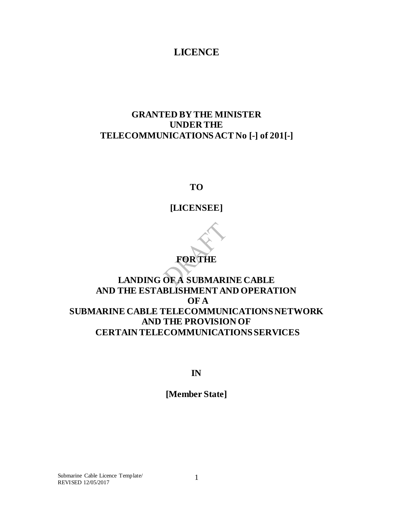# **LICENCE**

# **GRANTED BY THE MINISTER UNDER THE TELECOMMUNICATIONS ACT No [-] of 201[-]**

**TO**

**[LICENSEE]**

**FOR THE**

# **LANDING OF A SUBMARINE CABLE AND THE ESTABLISHMENT AND OPERATION OF A SUBMARINE CABLE TELECOMMUNICATIONS NETWORK AND THE PROVISION OF CERTAIN TELECOMMUNICATIONS SERVICES**

**IN**

# **[Member State]**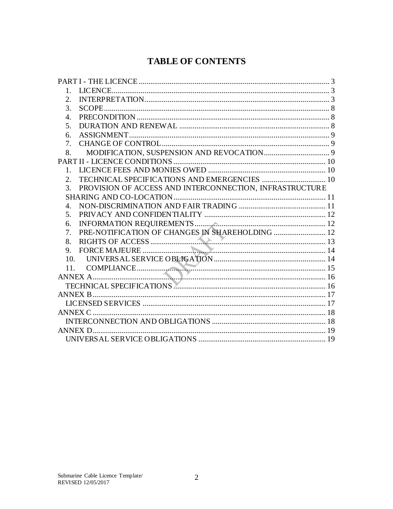# **TABLE OF CONTENTS**

| 2.                     |                                                                                                                                                                                                                                      |  |
|------------------------|--------------------------------------------------------------------------------------------------------------------------------------------------------------------------------------------------------------------------------------|--|
| 3.                     |                                                                                                                                                                                                                                      |  |
| 4.                     |                                                                                                                                                                                                                                      |  |
| 5.                     |                                                                                                                                                                                                                                      |  |
| 6.                     |                                                                                                                                                                                                                                      |  |
| 7.                     |                                                                                                                                                                                                                                      |  |
| 8.                     |                                                                                                                                                                                                                                      |  |
|                        |                                                                                                                                                                                                                                      |  |
| 1.                     |                                                                                                                                                                                                                                      |  |
| 2.                     |                                                                                                                                                                                                                                      |  |
| $\mathcal{R}_{\alpha}$ | PROVISION OF ACCESS AND INTERCONNECTION, INFRASTRUCTURE                                                                                                                                                                              |  |
|                        |                                                                                                                                                                                                                                      |  |
| $\mathcal{A}_{\cdot}$  |                                                                                                                                                                                                                                      |  |
| 5.                     |                                                                                                                                                                                                                                      |  |
| 6.                     |                                                                                                                                                                                                                                      |  |
| 7.                     |                                                                                                                                                                                                                                      |  |
| 8.                     |                                                                                                                                                                                                                                      |  |
| 9.                     |                                                                                                                                                                                                                                      |  |
| 10.                    |                                                                                                                                                                                                                                      |  |
|                        |                                                                                                                                                                                                                                      |  |
|                        |                                                                                                                                                                                                                                      |  |
|                        | TECHNICAL SPECIFICATIONS <b>Manual Contract Contract Contract Contract Contract Contract Contract Contract Contract Contract Contract Contract Contract Contract Contract Contract Contract Contract Contract Contract Contract </b> |  |
|                        |                                                                                                                                                                                                                                      |  |
|                        |                                                                                                                                                                                                                                      |  |
|                        |                                                                                                                                                                                                                                      |  |
|                        |                                                                                                                                                                                                                                      |  |
|                        |                                                                                                                                                                                                                                      |  |
|                        |                                                                                                                                                                                                                                      |  |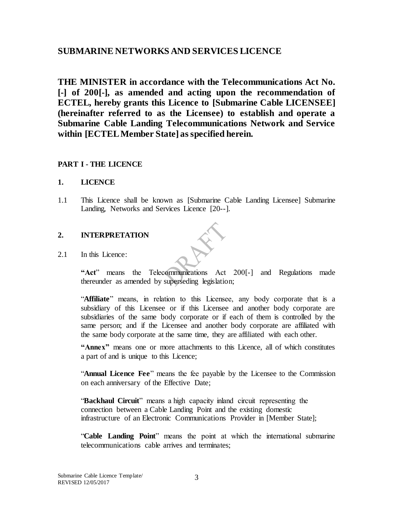# **SUBMARINE NETWORKS AND SERVICES LICENCE**

**THE MINISTER in accordance with the Telecommunications Act No. [-] of 200[-], as amended and acting upon the recommendation of ECTEL, hereby grants this Licence to [Submarine Cable LICENSEE] (hereinafter referred to as the Licensee) to establish and operate a Submarine Cable Landing Telecommunications Network and Service within [ECTEL Member State] as specified herein.**

### <span id="page-2-0"></span>**PART I - THE LICENCE**

### <span id="page-2-1"></span>**1. LICENCE**

1.1 This Licence shall be known as [Submarine Cable Landing Licensee] Submarine Landing, Networks and Services Licence [20--].

### <span id="page-2-2"></span>**2. INTERPRETATION**

2.1 In this Licence:



"**Affiliate**" means, in relation to this Licensee, any body corporate that is a subsidiary of this Licensee or if this Licensee and another body corporate are subsidiaries of the same body corporate or if each of them is controlled by the same person; and if the Licensee and another body corporate are affiliated with the same body corporate at the same time, they are affiliated with each other.

**"Annex"** means one or more attachments to this Licence, all of which constitutes a part of and is unique to this Licence;

"**Annual Licence Fee**" means the fee payable by the Licensee to the Commission on each anniversary of the Effective Date;

"**Backhaul Circuit**" means a high capacity inland circuit representing the connection between a Cable Landing Point and the existing domestic infrastructure of an Electronic Communications Provider in [Member State];

"**Cable Landing Point**" means the point at which the international submarine telecommunications cable arrives and terminates;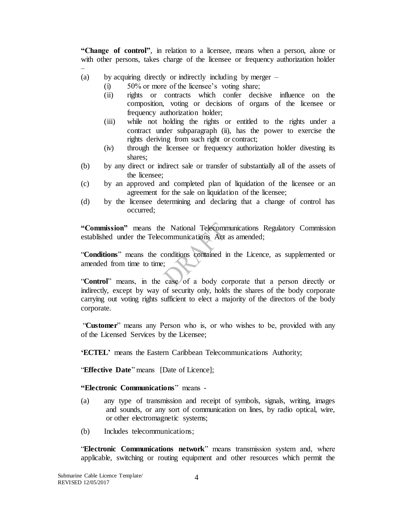**"Change of control"**, in relation to a licensee, means when a person, alone or with other persons, takes charge of the licensee or frequency authorization holder

(a) by acquiring directly or indirectly including by merger –

–

- (i) 50% or more of the licensee's voting share;
- (ii) rights or contracts which confer decisive influence on the composition, voting or decisions of organs of the licensee or frequency authorization holder;
- (iii) while not holding the rights or entitled to the rights under a contract under subparagraph (ii), has the power to exercise the rights deriving from such right or contract;
- (iv) through the licensee or frequency authorization holder divesting its shares;
- (b) by any direct or indirect sale or transfer of substantially all of the assets of the licensee;
- (c) by an approved and completed plan of liquidation of the licensee or an agreement for the sale on liquidation of the licensee;
- (d) by the licensee determining and declaring that a change of control has occurred;

**"Commission"** means the National Telecommunications Regulatory Commission established under the Telecommunications Act as amended;

"**Conditions**" means the conditions contained in the Licence, as supplemented or amended from time to time;

"Control" means, in the case of a body corporate that a person directly or indirectly, except by way of security only, holds the shares of the body corporate carrying out voting rights sufficient to elect a majority of the directors of the body corporate.

"**Customer**" means any Person who is, or who wishes to be, provided with any of the Licensed Services by the Licensee;

**'ECTEL'** means the Eastern Caribbean Telecommunications Authority;

"**Effective Date**" means [Date of Licence];

#### **"Electronic Communications**" means -

- (a) any type of transmission and receipt of symbols, signals, writing, images and sounds, or any sort of communication on lines, by radio optical, wire, or other electromagnetic systems;
- (b) Includes telecommunications;

"**Electronic Communications network**" means transmission system and, where applicable, switching or routing equipment and other resources which permit the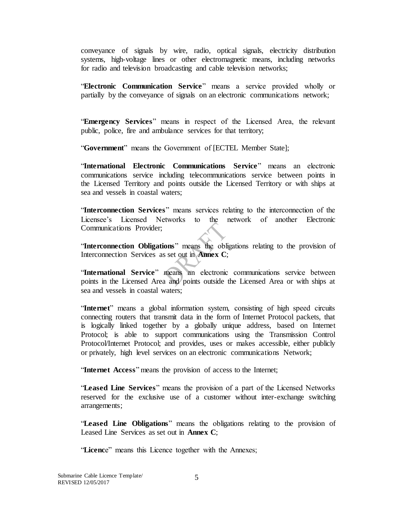conveyance of signals by wire, radio, optical signals, electricity distribution systems, high-voltage lines or other electromagnetic means, including networks for radio and television broadcasting and cable television networks;

"**Electronic Communication Service**" means a service provided wholly or partially by the conveyance of signals on an electronic communications network;

"**Emergency Services**" means in respect of the Licensed Area, the relevant public, police, fire and ambulance services for that territory;

"**Government**" means the Government of [ECTEL Member State];

"**International Electronic Communications Service**" means an electronic communications service including telecommunications service between points in the Licensed Territory and points outside the Licensed Territory or with ships at sea and vessels in coastal waters;

"**Interconnection Services**" means services relating to the interconnection of the Licensee's Licensed Networks to the network of another Electronic Communications Provider;

"**Interconnection Obligations**" means the obligations relating to the provision of Interconnection Services as set out in **Annex C**;

"**International Service**" means an electronic communications service between points in the Licensed Area and points outside the Licensed Area or with ships at sea and vessels in coastal waters;

"**Internet**" means a global information system, consisting of high speed circuits connecting routers that transmit data in the form of Internet Protocol packets, that is logically linked together by a globally unique address, based on Internet Protocol; is able to support communications using the Transmission Control Protocol/Internet Protocol; and provides, uses or makes accessible, either publicly or privately, high level services on an electronic communications Network;

"**Internet Access**" means the provision of access to the Internet;

"**Leased Line Services**" means the provision of a part of the Licensed Networks reserved for the exclusive use of a customer without inter-exchange switching arrangements;

"**Leased Line Obligations**" means the obligations relating to the provision of Leased Line Services as set out in **Annex C**;

"**Licenc**e" means this Licence together with the Annexes;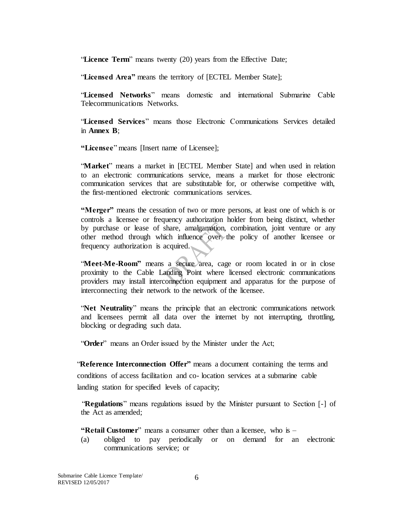"**Licence Term**" means twenty (20) years from the Effective Date;

"**Licensed Area"** means the territory of [ECTEL Member State];

"**Licensed Networks**" means domestic and international Submarine Cable Telecommunications Networks.

"**Licensed Services**" means those Electronic Communications Services detailed in **Annex B**;

**"Licensee**" means [Insert name of Licensee];

"Market" means a market in [ECTEL Member State] and when used in relation to an electronic communications service, means a market for those electronic communication services that are substitutable for, or otherwise competitive with, the first-mentioned electronic communications services.

**"Merger"** means the cessation of two or more persons, at least one of which is or controls a licensee or frequency authorization holder from being distinct, whether by purchase or lease of share, amalgamation, combination, joint venture or any other method through which influence over the policy of another licensee or frequency authorization is acquired.

"Meet-Me-Room" means a secure area, cage or room located in or in close proximity to the Cable Landing Point where licensed electronic communications providers may install interconnection equipment and apparatus for the purpose of interconnecting their network to the network of the licensee.

"**Net Neutrality**" means the principle that an electronic communications network and licensees permit all data over the internet by not interrupting, throttling, blocking or degrading such data.

"**Order**" means an Order issued by the Minister under the Act;

"**Reference Interconnection Offer"** means a document containing the terms and conditions of access facilitation and co- location services at a submarine cable landing station for specified levels of capacity;

"**Regulations**" means regulations issued by the Minister pursuant to Section [-] of the Act as amended;

**"Retail Customer**" means a consumer other than a licensee, who is –

(a) obliged to pay periodically or on demand for an electronic communications service; or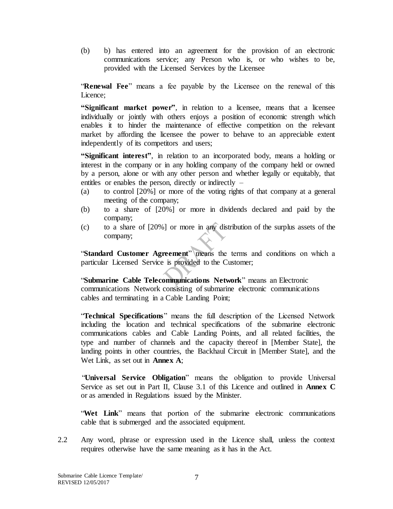(b) b) has entered into an agreement for the provision of an electronic communications service; any Person who is, or who wishes to be, provided with the Licensed Services by the Licensee

"**Renewal Fee**" means a fee payable by the Licensee on the renewal of this Licence;

**"Significant market power"**, in relation to a licensee, means that a licensee individually or jointly with others enjoys a position of economic strength which enables it to hinder the maintenance of effective competition on the relevant market by affording the licensee the power to behave to an appreciable extent independently of its competitors and users;

**"Significant interest"**, in relation to an incorporated body, means a holding or interest in the company or in any holding company of the company held or owned by a person, alone or with any other person and whether legally or equitably, that entitles or enables the person, directly or indirectly –

- (a) to control [20%] or more of the voting rights of that company at a general meeting of the company;
- (b) to a share of [20%] or more in dividends declared and paid by the company;
- (c) to a share of [20%] or more in any distribution of the surplus assets of the company;

"**Standard Customer Agreement**" means the terms and conditions on which a particular Licensed Service is provided to the Customer;

"**Submarine Cable Telecommunications Network**" means an Electronic communications Network consisting of submarine electronic communications cables and terminating in a Cable Landing Point;

"**Technical Specifications**" means the full description of the Licensed Network including the location and technical specifications of the submarine electronic communications cables and Cable Landing Points, and all related facilities, the type and number of channels and the capacity thereof in [Member State], the landing points in other countries, the Backhaul Circuit in [Member State], and the Wet Link, as set out in **Annex A**;

"**Universal Service Obligation**" means the obligation to provide Universal Service as set out in Part II, Clause 3.1 of this Licence and outlined in **Annex C**  or as amended in Regulations issued by the Minister.

"Wet Link" means that portion of the submarine electronic communications cable that is submerged and the associated equipment.

2.2 Any word, phrase or expression used in the Licence shall, unless the context requires otherwise have the same meaning as it has in the Act.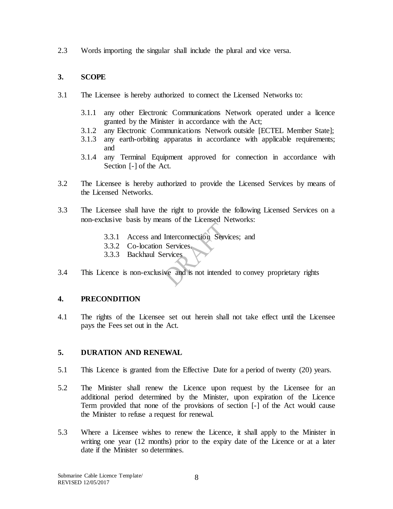2.3 Words importing the singular shall include the plural and vice versa.

### <span id="page-7-0"></span>**3. SCOPE**

- 3.1 The Licensee is hereby authorized to connect the Licensed Networks to:
	- 3.1.1 any other Electronic Communications Network operated under a licence granted by the Minister in accordance with the Act;
	- 3.1.2 any Electronic Communications Network outside [ECTEL Member State];
	- 3.1.3 any earth-orbiting apparatus in accordance with applicable requirements; and
	- 3.1.4 any Terminal Equipment approved for connection in accordance with Section [-] of the Act.
- 3.2 The Licensee is hereby authorized to provide the Licensed Services by means of the Licensed Networks.
- 3.3 The Licensee shall have the right to provide the following Licensed Services on a non-exclusive basis by means of the Licensed Networks:
	- 3.3.1 Access and Interconnection Services; and
	- 3.3.2 Co-location Services.
	- 3.3.3 Backhaul Services
- 3.4 This Licence is non-exclusive and is not intended to convey proprietary rights

### <span id="page-7-1"></span>**4. PRECONDITION**

4.1 The rights of the Licensee set out herein shall not take effect until the Licensee pays the Fees set out in the Act.

### <span id="page-7-2"></span>**5. DURATION AND RENEWAL**

- 5.1 This Licence is granted from the Effective Date for a period of twenty (20) years.
- 5.2 The Minister shall renew the Licence upon request by the Licensee for an additional period determined by the Minister, upon expiration of the Licence Term provided that none of the provisions of section [-] of the Act would cause the Minister to refuse a request for renewal.
- 5.3 Where a Licensee wishes to renew the Licence, it shall apply to the Minister in writing one year (12 months) prior to the expiry date of the Licence or at a later date if the Minister so determines.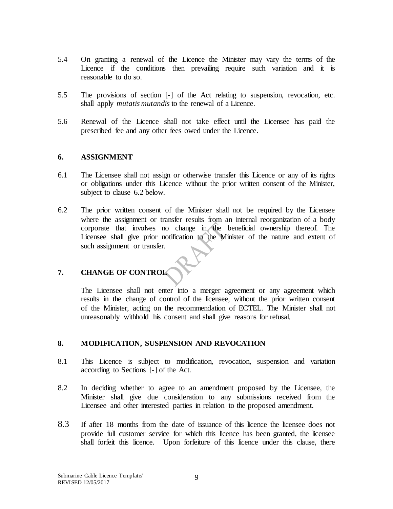- 5.4 On granting a renewal of the Licence the Minister may vary the terms of the Licence if the conditions then prevailing require such variation and it is reasonable to do so.
- 5.5 The provisions of section [-] of the Act relating to suspension, revocation, etc. shall apply *mutatis mutandis* to the renewal of a Licence.
- 5.6 Renewal of the Licence shall not take effect until the Licensee has paid the prescribed fee and any other fees owed under the Licence.

### <span id="page-8-0"></span>**6. ASSIGNMENT**

- 6.1 The Licensee shall not assign or otherwise transfer this Licence or any of its rights or obligations under this Licence without the prior written consent of the Minister, subject to clause 6.2 below.
- 6.2 The prior written consent of the Minister shall not be required by the Licensee where the assignment or transfer results from an internal reorganization of a body corporate that involves no change in the beneficial ownership thereof. The Licensee shall give prior notification to the Minister of the nature and extent of such assignment or transfer.

### <span id="page-8-1"></span>**7. CHANGE OF CONTROL**

The Licensee shall not enter into a merger agreement or any agreement which results in the change of control of the licensee, without the prior written consent of the Minister, acting on the recommendation of ECTEL. The Minister shall not unreasonably withhold his consent and shall give reasons for refusal.

### <span id="page-8-2"></span>**8. MODIFICATION, SUSPENSION AND REVOCATION**

- 8.1 This Licence is subject to modification, revocation, suspension and variation according to Sections [-] of the Act.
- 8.2 In deciding whether to agree to an amendment proposed by the Licensee, the Minister shall give due consideration to any submissions received from the Licensee and other interested parties in relation to the proposed amendment.
- 8.3 If after 18 months from the date of issuance of this licence the licensee does not provide full customer service for which this licence has been granted, the licensee shall forfeit this licence. Upon forfeiture of this licence under this clause, there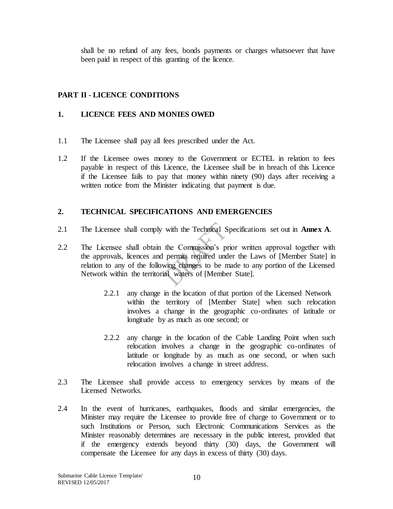shall be no refund of any fees, bonds payments or charges whatsoever that have been paid in respect of this granting of the licence.

### <span id="page-9-0"></span>**PART II - LICENCE CONDITIONS**

### <span id="page-9-1"></span>**1. LICENCE FEES AND MONIES OWED**

- 1.1 The Licensee shall pay all fees prescribed under the Act.
- 1.2 If the Licensee owes money to the Government or ECTEL in relation to fees payable in respect of this Licence, the Licensee shall be in breach of this Licence if the Licensee fails to pay that money within ninety (90) days after receiving a written notice from the Minister indicating that payment is due.

### <span id="page-9-2"></span>**2. TECHNICAL SPECIFICATIONS AND EMERGENCIES**

- 2.1 The Licensee shall comply with the Technical Specifications set out in **Annex A**.
- 2.2 The Licensee shall obtain the Commission's prior written approval together with the approvals, licences and permits required under the Laws of [Member State] in relation to any of the following changes to be made to any portion of the Licensed Network within the territorial waters of [Member State].
	- 2.2.1 any change in the location of that portion of the Licensed Network within the territory of [Member State] when such relocation involves a change in the geographic co-ordinates of latitude or longitude by as much as one second; or
	- 2.2.2 any change in the location of the Cable Landing Point when such relocation involves a change in the geographic co-ordinates of latitude or longitude by as much as one second, or when such relocation involves a change in street address.
- 2.3 The Licensee shall provide access to emergency services by means of the Licensed Networks.
- 2.4 In the event of hurricanes, earthquakes, floods and similar emergencies, the Minister may require the Licensee to provide free of charge to Government or to such Institutions or Person, such Electronic Communications Services as the Minister reasonably determines are necessary in the public interest, provided that if the emergency extends beyond thirty (30) days, the Government will compensate the Licensee for any days in excess of thirty (30) days.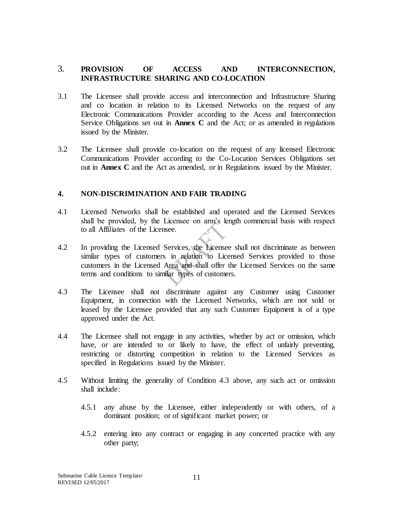### <span id="page-10-0"></span>3. **PROVISION OF ACCESS AND INTERCONNECTION, INFRASTRUCTURE SHARING AND CO-LOCATION**

- 3.1 The Licensee shall provide access and interconnection and Infrastructure Sharing and co location in relation to its Licensed Networks on the request of any Electronic Communications Provider according to the Acess and Interconnection Service Obligations set out in **Annex C** and the Act; or as amended in regulations issued by the Minister.
- 3.2 The Licensee shall provide co-location on the request of any licensed Electronic Communications Provider according to the Co-Location Services Obligations set out in **Annex C** and the Act as amended, or in Regulations issued by the Minister.

#### <span id="page-10-1"></span>**4. NON-DISCRIMINATION AND FAIR TRADING**

- 4.1 Licensed Networks shall be established and operated and the Licensed Services shall be provided, by the Licensee on arm's length commercial basis with respect to all Affiliates of the Licensee.
- 4.2 In providing the Licensed Services, the Licensee shall not discriminate as between similar types of customers in relation to Licensed Services provided to those customers in the Licensed Area and shall offer the Licensed Services on the same terms and conditions to similar types of customers.
- 4.3 The Licensee shall not discriminate against any Customer using Customer Equipment, in connection with the Licensed Networks, which are not sold or leased by the Licensee provided that any such Customer Equipment is of a type approved under the Act.
- 4.4 The Licensee shall not engage in any activities, whether by act or omission, which have, or are intended to or likely to have, the effect of unfairly preventing, restricting or distorting competition in relation to the Licensed Services as specified in Regulations issued by the Minister.
- 4.5 Without limiting the generality of Condition 4.3 above, any such act or omission shall include:
	- 4.5.1 any abuse by the Licensee, either independently or with others, of a dominant position; or of significant market power; or
	- 4.5.2 entering into any contract or engaging in any concerted practice with any other party;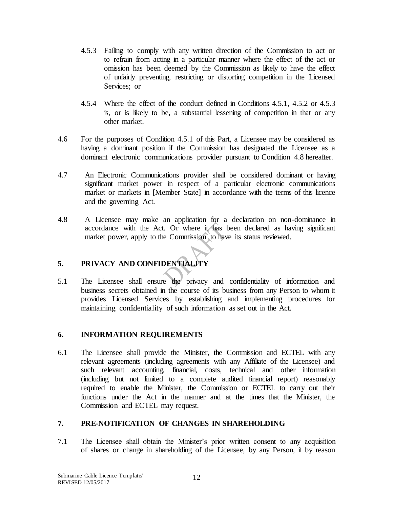- 4.5.3 Failing to comply with any written direction of the Commission to act or to refrain from acting in a particular manner where the effect of the act or omission has been deemed by the Commission as likely to have the effect of unfairly preventing, restricting or distorting competition in the Licensed Services: or
- 4.5.4 Where the effect of the conduct defined in Conditions 4.5.1, 4.5.2 or 4.5.3 is, or is likely to be, a substantial lessening of competition in that or any other market.
- 4.6 For the purposes of Condition 4.5.1 of this Part, a Licensee may be considered as having a dominant position if the Commission has designated the Licensee as a dominant electronic communications provider pursuant to Condition 4.8 hereafter.
- 4.7 An Electronic Communications provider shall be considered dominant or having significant market power in respect of a particular electronic communications market or markets in [Member State] in accordance with the terms of this licence and the governing Act.
- 4.8 A Licensee may make an application for a declaration on non-dominance in accordance with the Act. Or where it has been declared as having significant market power, apply to the Commission to have its status reviewed.

### <span id="page-11-0"></span>**5. PRIVACY AND CONFIDENTIALITY**

5.1 The Licensee shall ensure the privacy and confidentiality of information and business secrets obtained in the course of its business from any Person to whom it provides Licensed Services by establishing and implementing procedures for maintaining confidentiality of such information as set out in the Act.

### <span id="page-11-1"></span>**6. INFORMATION REQUIREMENTS**

6.1 The Licensee shall provide the Minister, the Commission and ECTEL with any relevant agreements (including agreements with any Affiliate of the Licensee) and such relevant accounting, financial, costs, technical and other information (including but not limited to a complete audited financial report) reasonably required to enable the Minister, the Commission or ECTEL to carry out their functions under the Act in the manner and at the times that the Minister, the Commission and ECTEL may request.

### <span id="page-11-2"></span>**7. PRE-NOTIFICATION OF CHANGES IN SHAREHOLDING**

7.1 The Licensee shall obtain the Minister's prior written consent to any acquisition of shares or change in shareholding of the Licensee, by any Person, if by reason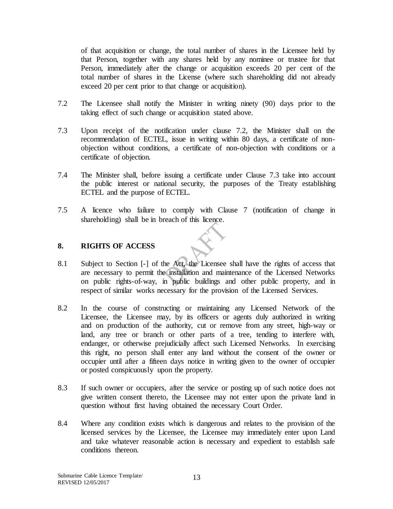of that acquisition or change, the total number of shares in the Licensee held by that Person, together with any shares held by any nominee or trustee for that Person, immediately after the change or acquisition exceeds 20 per cent of the total number of shares in the License (where such shareholding did not already exceed 20 per cent prior to that change or acquisition).

- 7.2 The Licensee shall notify the Minister in writing ninety (90) days prior to the taking effect of such change or acquisition stated above.
- 7.3 Upon receipt of the notification under clause 7.2, the Minister shall on the recommendation of ECTEL, issue in writing within 80 days, a certificate of nonobjection without conditions, a certificate of non-objection with conditions or a certificate of objection.
- 7.4 The Minister shall, before issuing a certificate under Clause 7.3 take into account the public interest or national security, the purposes of the Treaty establishing ECTEL and the purpose of ECTEL.
- 7.5 A licence who failure to comply with Clause 7 (notification of change in shareholding) shall be in breach of this licence.<br> **RIGHTS OF ACCESS**

### <span id="page-12-0"></span>**8. RIGHTS OF ACCESS**

- 8.1 Subject to Section [-] of the Act, the Licensee shall have the rights of access that are necessary to permit the installation and maintenance of the Licensed Networks on public rights-of-way, in public buildings and other public property, and in respect of similar works necessary for the provision of the Licensed Services.
- 8.2 In the course of constructing or maintaining any Licensed Network of the Licensee, the Licensee may, by its officers or agents duly authorized in writing and on production of the authority, cut or remove from any street, high-way or land, any tree or branch or other parts of a tree, tending to interfere with, endanger, or otherwise prejudicially affect such Licensed Networks. In exercising this right, no person shall enter any land without the consent of the owner or occupier until after a fifteen days notice in writing given to the owner of occupier or posted conspicuously upon the property.
- 8.3 If such owner or occupiers, after the service or posting up of such notice does not give written consent thereto, the Licensee may not enter upon the private land in question without first having obtained the necessary Court Order.
- 8.4 Where any condition exists which is dangerous and relates to the provision of the licensed services by the Licensee, the Licensee may immediately enter upon Land and take whatever reasonable action is necessary and expedient to establish safe conditions thereon.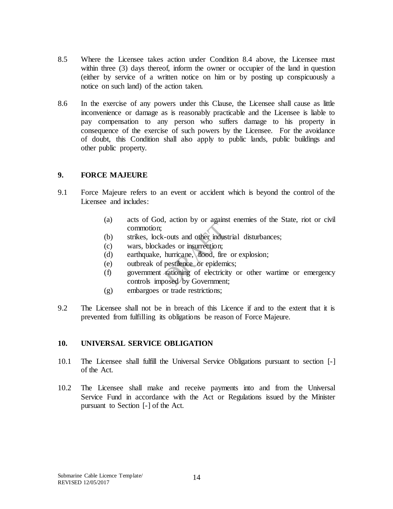- 8.5 Where the Licensee takes action under Condition 8.4 above, the Licensee must within three (3) days thereof, inform the owner or occupier of the land in question (either by service of a written notice on him or by posting up conspicuously a notice on such land) of the action taken.
- 8.6 In the exercise of any powers under this Clause, the Licensee shall cause as little inconvenience or damage as is reasonably practicable and the Licensee is liable to pay compensation to any person who suffers damage to his property in consequence of the exercise of such powers by the Licensee. For the avoidance of doubt, this Condition shall also apply to public lands, public buildings and other public property.

### <span id="page-13-0"></span>**9. FORCE MAJEURE**

- 9.1 Force Majeure refers to an event or accident which is beyond the control of the Licensee and includes:
	- (a) acts of God, action by or against enemies of the State, riot or civil commotion;
	- (b) strikes, lock-outs and other industrial disturbances;
	- (c) wars, blockades or insurrection;
	- (d) earthquake, hurricane, flood, fire or explosion;
	- (e) outbreak of pestilence or epidemics;
	- (f) government rationing of electricity or other wartime or emergency controls imposed by Government;
	- (g) embargoes or trade restrictions;
- 9.2 The Licensee shall not be in breach of this Licence if and to the extent that it is prevented from fulfilling its obligations be reason of Force Majeure.

### <span id="page-13-1"></span>**10. UNIVERSAL SERVICE OBLIGATION**

- 10.1 The Licensee shall fulfill the Universal Service Obligations pursuant to section [-] of the Act.
- 10.2 The Licensee shall make and receive payments into and from the Universal Service Fund in accordance with the Act or Regulations issued by the Minister pursuant to Section [-] of the Act.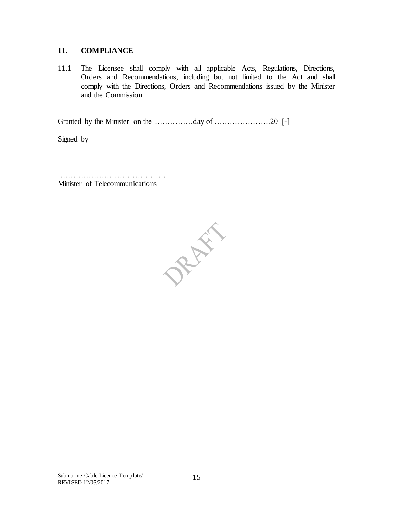### <span id="page-14-0"></span>**11. COMPLIANCE**

11.1 The Licensee shall comply with all applicable Acts, Regulations, Directions, Orders and Recommendations, including but not limited to the Act and shall comply with the Directions, Orders and Recommendations issued by the Minister and the Commission.

Granted by the Minister on the ……………day of ………………………201[-]

Signed by

…………………………………… Minister of Telecommunications

PRAY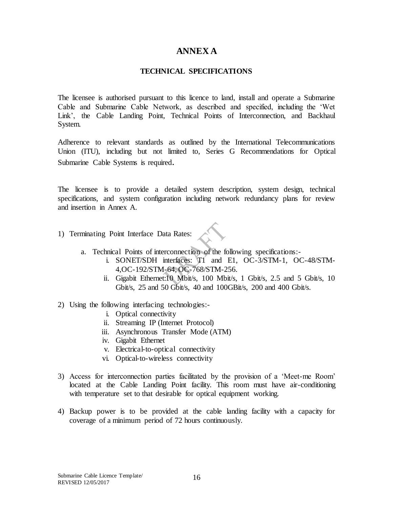### **ANNEX A**

#### **TECHNICAL SPECIFICATIONS**

<span id="page-15-1"></span><span id="page-15-0"></span>The licensee is authorised pursuant to this licence to land, install and operate a Submarine Cable and Submarine Cable Network, as described and specified, including the 'Wet Link', the Cable Landing Point, Technical Points of Interconnection, and Backhaul System.

Adherence to relevant standards as outlined by the International Telecommunications Union (ITU), including but not limited to, Series G Recommendations for Optical Submarine Cable Systems is required.

The licensee is to provide a detailed system description, system design, technical specifications, and system configuration including network redundancy plans for review and insertion in Annex A.

- 1) Terminating Point Interface Data Rates:
	- a. Technical Points of interconnection of the following specifications:
		- i. SONET/SDH interfaces: T1 and E1, OC-3/STM-1, OC-48/STM-4,OC-192/STM-64, OC-768/STM-256.
		- ii. Gigabit Ethernet:10 Mbit/s, 100 Mbit/s, 1 Gbit/s, 2.5 and 5 Gbit/s, 10 Gbit/s, 25 and 50 Gbit/s, 40 and 100GBit/s, 200 and 400 Gbit/s.
- 2) Using the following interfacing technologies:
	- i. Optical connectivity
	- ii. Streaming IP (Internet Protocol)
	- iii. Asynchronous Transfer Mode (ATM)
	- iv. Gigabit Ethernet
	- v. Electrical-to-optical connectivity
	- vi. Optical-to-wireless connectivity
- 3) Access for interconnection parties facilitated by the provision of a 'Meet-me Room' located at the Cable Landing Point facility. This room must have air-conditioning with temperature set to that desirable for optical equipment working.
- 4) Backup power is to be provided at the cable landing facility with a capacity for coverage of a minimum period of 72 hours continuously.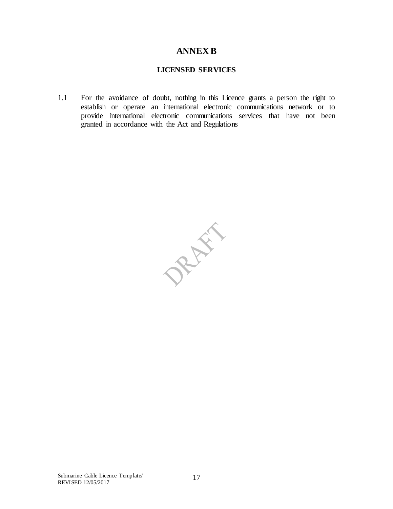# **ANNEX B**

### **LICENSED SERVICES**

<span id="page-16-1"></span><span id="page-16-0"></span>1.1 For the avoidance of doubt, nothing in this Licence grants a person the right to establish or operate an international electronic communications network or to provide international electronic communications services that have not been granted in accordance with the Act and Regulations

PRAIL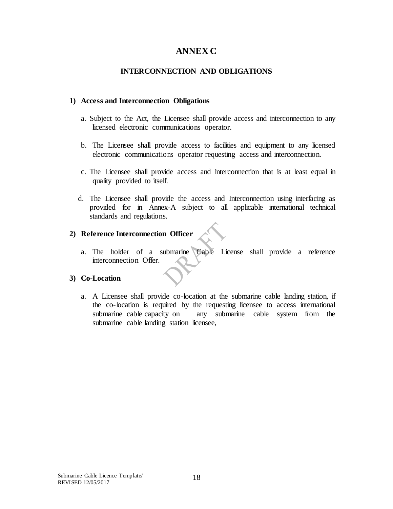# **ANNEX C**

### **INTERCONNECTION AND OBLIGATIONS**

### <span id="page-17-1"></span><span id="page-17-0"></span>**1) Access and Interconnection Obligations**

- a. Subject to the Act, the Licensee shall provide access and interconnection to any licensed electronic communications operator.
- b. The Licensee shall provide access to facilities and equipment to any licensed electronic communications operator requesting access and interconnection.
- c. The Licensee shall provide access and interconnection that is at least equal in quality provided to itself.
- d. The Licensee shall provide the access and Interconnection using interfacing as provided for in Annex-A subject to all applicable international technical standards and regulations.

### **2) Reference Interconnection Officer**

a. The holder of a submarine Cable License shall provide a reference interconnection Offer.

### **3) Co-Location**

a. A Licensee shall provide co-location at the submarine cable landing station, if the co-location is required by the requesting licensee to access international submarine cable capacity on any submarine cable system from the submarine cable landing station licensee,